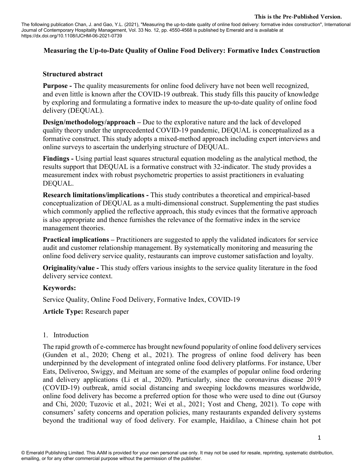The following publication Chan, J. and Gao, Y.L. (2021), "Measuring the up-to-date quality of online food delivery: formative index construction", International Journal of Contemporary Hospitality Management, Vol. 33 No. 12, pp. 4550-4568 is published by Emerald and is available at https://dx.doi.org/10.1108/IJCHM-06-2021-0739

# **Measuring the Up-to-Date Quality of Online Food Delivery: Formative Index Construction**

### **Structured abstract**

**Purpose -** The quality measurements for online food delivery have not been well recognized, and even little is known after the COVID-19 outbreak. This study fills this paucity of knowledge by exploring and formulating a formative index to measure the up-to-date quality of online food delivery (DEQUAL).

**Design/methodology/approach** – Due to the explorative nature and the lack of developed quality theory under the unprecedented COVID-19 pandemic, DEQUAL is conceptualized as a formative construct. This study adopts a mixed-method approach including expert interviews and online surveys to ascertain the underlying structure of DEQUAL.

**Findings -** Using partial least squares structural equation modeling as the analytical method, the results support that DEQUAL is a formative construct with 32-indicator. The study provides a measurement index with robust psychometric properties to assist practitioners in evaluating DEQUAL.

**Research limitations/implications -** This study contributes a theoretical and empirical-based conceptualization of DEQUAL as a multi-dimensional construct. Supplementing the past studies which commonly applied the reflective approach, this study evinces that the formative approach is also appropriate and thence furnishes the relevance of the formative index in the service management theories.

**Practical implications –** Practitioners are suggested to apply the validated indicators for service audit and customer relationship management. By systematically monitoring and measuring the online food delivery service quality, restaurants can improve customer satisfaction and loyalty.

**Originality/value -** This study offers various insights to the service quality literature in the food delivery service context.

## **Keywords:**

Service Quality, Online Food Delivery, Formative Index, COVID-19

**Article Type:** Research paper

## 1. Introduction

The rapid growth of e-commerce has brought newfound popularity of online food delivery services (Gunden et al., 2020; Cheng et al., 2021). The progress of online food delivery has been underpinned by the development of integrated online food delivery platforms. For instance, Uber Eats, Deliveroo, Swiggy, and Meituan are some of the examples of popular online food ordering and delivery applications (Li et al., 2020). Particularly, since the coronavirus disease 2019 (COVID-19) outbreak, amid social distancing and sweeping lockdowns measures worldwide, online food delivery has become a preferred option for those who were used to dine out (Gursoy and Chi, 2020; Tuzovic et al., 2021; Wei et al., 2021; Yost and Cheng, 2021). To cope with consumers' safety concerns and operation policies, many restaurants expanded delivery systems beyond the traditional way of food delivery. For example, Haidilao, a Chinese chain hot pot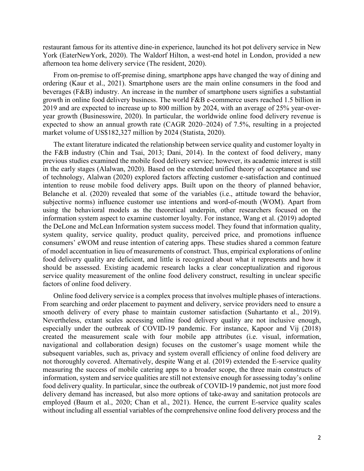restaurant famous for its attentive dine-in experience, launched its hot pot delivery service in New York (EaterNewYork, 2020). The Waldorf Hilton, a west-end hotel in London, provided a new afternoon tea home delivery service (The resident, 2020).

From on-premise to off-premise dining, smartphone apps have changed the way of dining and ordering (Kaur et al., 2021). Smartphone users are the main online consumers in the food and beverages (F&B) industry. An increase in the number of smartphone users signifies a substantial growth in online food delivery business. The world F&B e-commerce users reached 1.5 billion in 2019 and are expected to increase up to 800 million by 2024, with an average of 25% year-overyear growth (Businesswire, 2020). In particular, the worldwide online food delivery revenue is expected to show an annual growth rate (CAGR 2020–2024) of 7.5%, resulting in a projected market volume of US\$182,327 million by 2024 (Statista, 2020).

The extant literature indicated the relationship between service quality and customer loyalty in the F&B industry (Chin and Tsai, 2013; Dani, 2014). In the context of food delivery, many previous studies examined the mobile food delivery service; however, its academic interest is still in the early stages (Alalwan, 2020). Based on the extended unified theory of acceptance and use of technology, Alalwan (2020) explored factors affecting customer e-satisfaction and continued intention to reuse mobile food delivery apps. Built upon on the theory of planned behavior, Belanche et al. (2020) revealed that some of the variables (i.e., attitude toward the behavior, subjective norms) influence customer use intentions and word-of-mouth (WOM). Apart from using the behavioral models as the theoretical underpin, other researchers focused on the information system aspect to examine customer loyalty. For instance, Wang et al. (2019) adopted the DeLone and McLean Information system success model. They found that information quality, system quality, service quality, product quality, perceived price, and promotions influence consumers' eWOM and reuse intention of catering apps. These studies shared a common feature of model accentuation in lieu of measurements of construct. Thus, empirical explorations of online food delivery quality are deficient, and little is recognized about what it represents and how it should be assessed. Existing academic research lacks a clear conceptualization and rigorous service quality measurement of the online food delivery construct, resulting in unclear specific factors of online food delivery.

Online food delivery service is a complex process that involves multiple phases of interactions. From searching and order placement to payment and delivery, service providers need to ensure a smooth delivery of every phase to maintain customer satisfaction (Suhartanto et al., 2019). Nevertheless, extant scales accessing online food delivery quality are not inclusive enough, especially under the outbreak of COVID-19 pandemic. For instance, Kapoor and Vij (2018) created the measurement scale with four mobile app attributes (i.e. visual, information, navigational and collaboration design) focuses on the customer's usage moment while the subsequent variables, such as, privacy and system overall efficiency of online food delivery are not thoroughly covered. Alternatively, despite Wang et al. (2019) extended the E-service quality measuring the success of mobile catering apps to a broader scope, the three main constructs of information, system and service qualities are still not extensive enough for assessing today's online food delivery quality. In particular, since the outbreak of COVID-19 pandemic, not just more food delivery demand has increased, but also more options of take-away and sanitation protocols are employed (Baum et al., 2020; Chan et al., 2021). Hence, the current E-service quality scales without including all essential variables of the comprehensive online food delivery process and the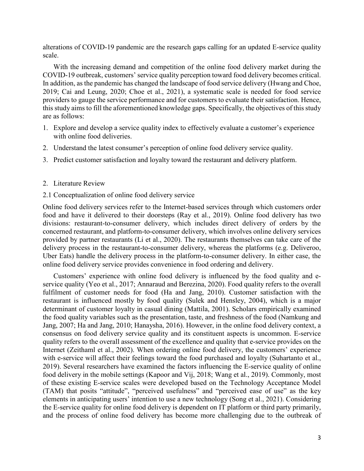alterations of COVID-19 pandemic are the research gaps calling for an updated E-service quality scale.

With the increasing demand and competition of the online food delivery market during the COVID-19 outbreak, customers' service quality perception toward food delivery becomes critical. In addition, as the pandemic has changed the landscape of food service delivery (Hwang and Choe, 2019; Cai and Leung, 2020; Choe et al., 2021), a systematic scale is needed for food service providers to gauge the service performance and for customers to evaluate their satisfaction. Hence, this study aims to fill the aforementioned knowledge gaps. Specifically, the objectives of this study are as follows:

- 1. Explore and develop a service quality index to effectively evaluate a customer's experience with online food deliveries.
- 2. Understand the latest consumer's perception of online food delivery service quality.
- 3. Predict customer satisfaction and loyalty toward the restaurant and delivery platform.
- 2. Literature Review
- 2.1 Conceptualization of online food delivery service

Online food delivery services refer to the Internet-based services through which customers order food and have it delivered to their doorsteps (Ray et al., 2019). Online food delivery has two divisions: restaurant-to-consumer delivery, which includes direct delivery of orders by the concerned restaurant, and platform-to-consumer delivery, which involves online delivery services provided by partner restaurants (Li et al., 2020). The restaurants themselves can take care of the delivery process in the restaurant-to-consumer delivery, whereas the platforms (e.g. Deliveroo, Uber Eats) handle the delivery process in the platform-to-consumer delivery. In either case, the online food delivery service provides convenience in food ordering and delivery.

Customers' experience with online food delivery is influenced by the food quality and eservice quality (Yeo et al., 2017; Annaraud and Berezina, 2020). Food quality refers to the overall fulfilment of customer needs for food (Ha and Jang, 2010). Customer satisfaction with the restaurant is influenced mostly by food quality (Sulek and Hensley, 2004), which is a major determinant of customer loyalty in casual dining (Mattila, 2001). Scholars empirically examined the food quality variables such as the presentation, taste, and freshness of the food (Namkung and Jang, 2007; Ha and Jang, 2010; Hanaysha, 2016). However, in the online food delivery context, a consensus on food delivery service quality and its constituent aspects is uncommon. E-service quality refers to the overall assessment of the excellence and quality that e-service provides on the Internet (Zeithaml et al., 2002). When ordering online food delivery, the customers' experience with e-service will affect their feelings toward the food purchased and loyalty (Suhartanto et al., 2019). Several researchers have examined the factors influencing the E-service quality of online food delivery in the mobile settings (Kapoor and Vij, 2018; Wang et al., 2019). Commonly, most of these existing E-service scales were developed based on the Technology Acceptance Model (TAM) that posits "attitude", "perceived usefulness" and "perceived ease of use" as the key elements in anticipating users' intention to use a new technology (Song et al., 2021). Considering the E-service quality for online food delivery is dependent on IT platform or third party primarily, and the process of online food delivery has become more challenging due to the outbreak of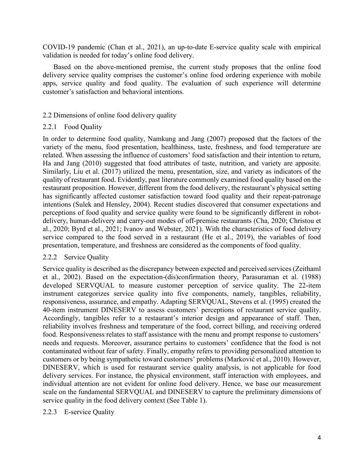COVID-19 pandemic (Chan et al., 2021), an up-to-date E-service quality scale with empirical validation is needed for today's online food delivery.

Based on the above-mentioned premise, the current study proposes that the online food delivery service quality comprises the customer's online food ordering experience with mobile apps, service quality and food quality. The evaluation of such experience will determine customer's satisfaction and behavioral intentions.

## 2.2 Dimensions of online food delivery quality

## 2.2.1 Food Quality

In order to determine food quality, Namkung and Jang (2007) proposed that the factors of the variety of the menu, food presentation, healthiness, taste, freshness, and food temperature are related. When assessing the influence of customers' food satisfaction and their intention to return, Ha and Jang (2010) suggested that food attributes of taste, nutrition, and variety are apposite. Similarly, Liu et al. (2017) utilized the menu, presentation, size, and variety as indicators of the quality of restaurant food. Evidently, past literature commonly examined food quality based on the restaurant proposition. However, different from the food delivery, the restaurant's physical setting has significantly affected customer satisfaction toward food quality and their repeat-patronage intentions (Sulek and Hensley, 2004). Recent studies discovered that consumer expectations and perceptions of food quality and service quality were found to be significantly different in robotdelivery, human-delivery and carry-out modes of off-premise restaurants (Cha, 2020; Christou et al., 2020; Byrd et al., 2021; Ivanov and Webster, 2021). With the characteristics of food delivery service compared to the food served in a restaurant (He et al., 2019), the variables of food presentation, temperature, and freshness are considered as the components of food quality.

# 2.2.2 Service Quality

Service quality is described as the discrepancy between expected and perceived services (Zeithaml et al., 2002). Based on the expectation-(dis)confirmation theory, Parasuraman et al. (1988) developed SERVQUAL to measure customer perception of service quality. The 22-item instrument categorizes service quality into five components, namely, tangibles, reliability, responsiveness, assurance, and empathy. Adapting SERVQUAL, Stevens et al. (1995) created the 40-item instrument DINESERV to assess customers' perceptions of restaurant service quality. Accordingly, tangibles refer to a restaurant's interior design and appearance of staff. Then, reliability involves freshness and temperature of the food, correct billing, and receiving ordered food. Responsiveness relates to staff assistance with the menu and prompt response to customers' needs and requests. Moreover, assurance pertains to customers' confidence that the food is not contaminated without fear of safety. Finally, empathy refers to providing personalized attention to customers or by being sympathetic toward customers' problems (Marković et al., 2010). However, DINESERV, which is used for restaurant service quality analysis, is not applicable for food delivery services. For instance, the physical environment, staff interaction with employees, and individual attention are not evident for online food delivery. Hence, we base our measurement scale on the fundamental SERVQUAL and DINESERV to capture the preliminary dimensions of service quality in the food delivery context (See Table 1).

## 2.2.3 E-service Quality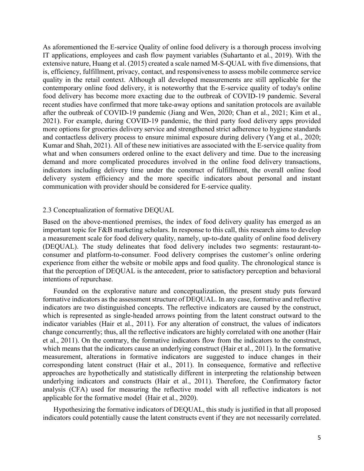As aforementioned the E-service Quality of online food delivery is a thorough process involving IT applications, employees and cash flow payment variables (Suhartanto et al., 2019). With the extensive nature, Huang et al. (2015) created a scale named M-S-QUAL with five dimensions, that is, efficiency, fulfillment, privacy, contact, and responsiveness to assess mobile commerce service quality in the retail context. Although all developed measurements are still applicable for the contemporary online food delivery, it is noteworthy that the E-service quality of today's online food delivery has become more exacting due to the outbreak of COVID-19 pandemic. Several recent studies have confirmed that more take-away options and sanitation protocols are available after the outbreak of COVID-19 pandemic (Jiang and Wen, 2020; Chan et al., 2021; Kim et al., 2021). For example, during COVID-19 pandemic, the third party food delivery apps provided more options for groceries delivery service and strengthened strict adherence to hygiene standards and contactless delivery process to ensure minimal exposure during delivery (Yang et al., 2020; Kumar and Shah, 2021). All of these new initiatives are associated with the E-service quality from what and when consumers ordered online to the exact delivery and time. Due to the increasing demand and more complicated procedures involved in the online food delivery transactions, indicators including delivery time under the construct of fulfillment, the overall online food delivery system efficiency and the more specific indicators about personal and instant communication with provider should be considered for E-service quality.

#### 2.3 Conceptualization of formative DEQUAL

Based on the above-mentioned premises, the index of food delivery quality has emerged as an important topic for F&B marketing scholars. In response to this call, this research aims to develop a measurement scale for food delivery quality, namely, up-to-date quality of online food delivery (DEQUAL). The study delineates that food delivery includes two segments: restaurant-toconsumer and platform-to-consumer. Food delivery comprises the customer's online ordering experience from either the website or mobile apps and food quality. The chronological stance is that the perception of DEQUAL is the antecedent, prior to satisfactory perception and behavioral intentions of repurchase.

Founded on the explorative nature and conceptualization, the present study puts forward formative indicators as the assessment structure of DEQUAL. In any case, formative and reflective indicators are two distinguished concepts. The reflective indicators are caused by the construct, which is represented as single-headed arrows pointing from the latent construct outward to the indicator variables (Hair et al., 2011). For any alteration of construct, the values of indicators change concurrently; thus, all the reflective indicators are highly correlated with one another (Hair et al., 2011). On the contrary, the formative indicators flow from the indicators to the construct, which means that the indicators cause an underlying construct (Hair et al., 2011). In the formative measurement, alterations in formative indicators are suggested to induce changes in their corresponding latent construct (Hair et al., 2011). In consequence, formative and reflective approaches are hypothetically and statistically different in interpreting the relationship between underlying indicators and constructs (Hair et al., 2011). Therefore, the Confirmatory factor analysis (CFA) used for measuring the reflective model with all reflective indicators is not applicable for the formative model (Hair et al., 2020).

Hypothesizing the formative indicators of DEQUAL, this study is justified in that all proposed indicators could potentially cause the latent constructs event if they are not necessarily correlated.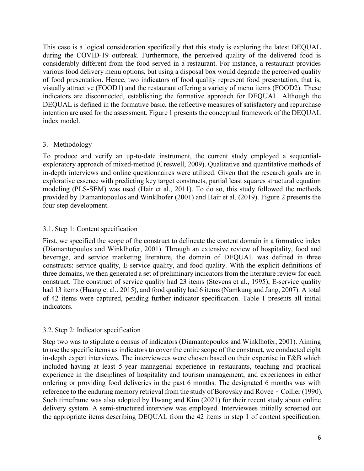This case is a logical consideration specifically that this study is exploring the latest DEQUAL during the COVID-19 outbreak. Furthermore, the perceived quality of the delivered food is considerably different from the food served in a restaurant. For instance, a restaurant provides various food delivery menu options, but using a disposal box would degrade the perceived quality of food presentation. Hence, two indicators of food quality represent food presentation, that is, visually attractive (FOOD1) and the restaurant offering a variety of menu items (FOOD2). These indicators are disconnected, establishing the formative approach for DEQUAL. Although the DEQUAL is defined in the formative basic, the reflective measures of satisfactory and repurchase intention are used for the assessment. Figure 1 presents the conceptual framework of the DEQUAL index model.

## 3. Methodology

To produce and verify an up-to-date instrument, the current study employed a sequentialexploratory approach of mixed-method (Creswell, 2009). Qualitative and quantitative methods of in-depth interviews and online questionnaires were utilized. Given that the research goals are in explorative essence with predicting key target constructs, partial least squares structural equation modeling (PLS-SEM) was used (Hair et al., 2011). To do so, this study followed the methods provided by Diamantopoulos and Winklhofer (2001) and Hair et al. (2019). Figure 2 presents the four-step development.

# 3.1. Step 1: Content specification

First, we specified the scope of the construct to delineate the content domain in a formative index (Diamantopoulos and Winklhofer, 2001). Through an extensive review of hospitality, food and beverage, and service marketing literature, the domain of DEQUAL was defined in three constructs: service quality, E-service quality, and food quality. With the explicit definitions of three domains, we then generated a set of preliminary indicators from the literature review for each construct. The construct of service quality had 23 items (Stevens et al., 1995), E-service quality had 13 items (Huang et al., 2015), and food quality had 6 items (Namkung and Jang, 2007). A total of 42 items were captured, pending further indicator specification. Table 1 presents all initial indicators.

# 3.2. Step 2: Indicator specification

Step two was to stipulate a census of indicators (Diamantopoulos and Winklhofer, 2001). Aiming to use the specific items as indicators to cover the entire scope of the construct, we conducted eight in-depth expert interviews. The interviewees were chosen based on their expertise in F&B which included having at least 5-year managerial experience in restaurants, teaching and practical experience in the disciplines of hospitality and tourism management, and experiences in either ordering or providing food deliveries in the past 6 months. The designated 6 months was with reference to the enduring memory retrieval from the study of Borovsky and Rovee - Collier (1990). Such timeframe was also adopted by Hwang and Kim (2021) for their recent study about online delivery system. A semi-structured interview was employed. Interviewees initially screened out the appropriate items describing DEQUAL from the 42 items in step 1 of content specification.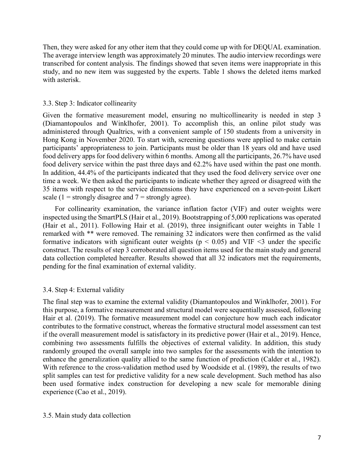Then, they were asked for any other item that they could come up with for DEQUAL examination. The average interview length was approximately 20 minutes. The audio interview recordings were transcribed for content analysis. The findings showed that seven items were inappropriate in this study, and no new item was suggested by the experts. Table 1 shows the deleted items marked with asterisk.

### 3.3. Step 3: Indicator collinearity

Given the formative measurement model, ensuring no multicollinearity is needed in step 3 (Diamantopoulos and Winklhofer, 2001). To accomplish this, an online pilot study was administered through Qualtrics, with a convenient sample of 150 students from a university in Hong Kong in November 2020. To start with, screening questions were applied to make certain participants' appropriateness to join. Participants must be older than 18 years old and have used food delivery apps for food delivery within 6 months. Among all the participants, 26.7% have used food delivery service within the past three days and 62.2% have used within the past one month. In addition, 44.4% of the participants indicated that they used the food delivery service over one time a week. We then asked the participants to indicate whether they agreed or disagreed with the 35 items with respect to the service dimensions they have experienced on a seven-point Likert scale (1 = strongly disagree and  $7$  = strongly agree).

For collinearity examination, the variance inflation factor (VIF) and outer weights were inspected using the SmartPLS (Hair et al., 2019). Bootstrapping of 5,000 replications was operated (Hair et al., 2011). Following Hair et al. (2019), three insignificant outer weights in Table 1 remarked with \*\* were removed. The remaining 32 indicators were then confirmed as the valid formative indicators with significant outer weights ( $p < 0.05$ ) and VIF <3 under the specific construct. The results of step 3 corroborated all question items used for the main study and general data collection completed hereafter. Results showed that all 32 indicators met the requirements, pending for the final examination of external validity.

## 3.4. Step 4: External validity

The final step was to examine the external validity (Diamantopoulos and Winklhofer, 2001). For this purpose, a formative measurement and structural model were sequentially assessed, following Hair et al. (2019). The formative measurement model can conjecture how much each indicator contributes to the formative construct, whereas the formative structural model assessment can test if the overall measurement model is satisfactory in its predictive power (Hair et al., 2019). Hence, combining two assessments fulfills the objectives of external validity. In addition, this study randomly grouped the overall sample into two samples for the assessments with the intention to enhance the generalization quality allied to the same function of prediction (Calder et al., 1982). With reference to the cross-validation method used by Woodside et al. (1989), the results of two split samples can test for predictive validity for a new scale development. Such method has also been used formative index construction for developing a new scale for memorable dining experience (Cao et al., 2019).

### 3.5. Main study data collection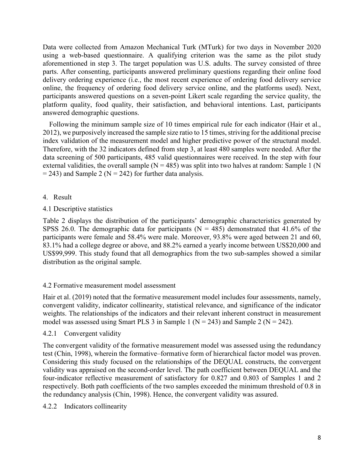Data were collected from Amazon Mechanical Turk (MTurk) for two days in November 2020 using a web-based questionnaire. A qualifying criterion was the same as the pilot study aforementioned in step 3. The target population was U.S. adults. The survey consisted of three parts. After consenting, participants answered preliminary questions regarding their online food delivery ordering experience (i.e., the most recent experience of ordering food delivery service online, the frequency of ordering food delivery service online, and the platforms used). Next, participants answered questions on a seven-point Likert scale regarding the service quality, the platform quality, food quality, their satisfaction, and behavioral intentions. Last, participants answered demographic questions.

Following the minimum sample size of 10 times empirical rule for each indicator (Hair et al., 2012), we purposively increased the sample size ratio to 15 times, striving for the additional precise index validation of the measurement model and higher predictive power of the structural model. Therefore, with the 32 indicators defined from step 3, at least 480 samples were needed. After the data screening of 500 participants, 485 valid questionnaires were received. In the step with four external validities, the overall sample ( $N = 485$ ) was split into two halves at random: Sample 1 (N  $= 243$ ) and Sample 2 (N  $= 242$ ) for further data analysis.

4. Result

# 4.1 Descriptive statistics

Table 2 displays the distribution of the participants' demographic characteristics generated by SPSS 26.0. The demographic data for participants ( $N = 485$ ) demonstrated that 41.6% of the participants were female and 58.4% were male. Moreover, 93.8% were aged between 21 and 60, 83.1% had a college degree or above, and 88.2% earned a yearly income between US\$20,000 and US\$99,999. This study found that all demographics from the two sub-samples showed a similar distribution as the original sample.

# 4.2 Formative measurement model assessment

Hair et al. (2019) noted that the formative measurement model includes four assessments, namely, convergent validity, indicator collinearity, statistical relevance, and significance of the indicator weights. The relationships of the indicators and their relevant inherent construct in measurement model was assessed using Smart PLS 3 in Sample 1 ( $N = 243$ ) and Sample 2 ( $N = 242$ ).

# 4.2.1 Convergent validity

The convergent validity of the formative measurement model was assessed using the redundancy test (Chin, 1998), wherein the formative–formative form of hierarchical factor model was proven. Considering this study focused on the relationships of the DEQUAL constructs, the convergent validity was appraised on the second-order level. The path coefficient between DEQUAL and the four-indicator reflective measurement of satisfactory for 0.827 and 0.803 of Samples 1 and 2 respectively. Both path coefficients of the two samples exceeded the minimum threshold of 0.8 in the redundancy analysis (Chin, 1998). Hence, the convergent validity was assured.

4.2.2 Indicators collinearity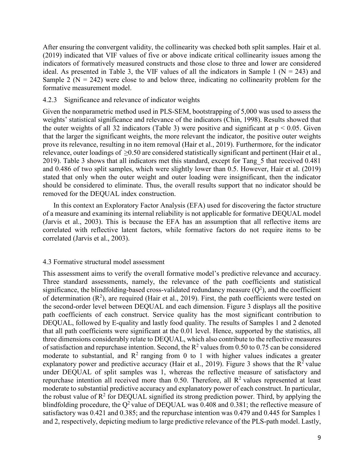After ensuring the convergent validity, the collinearity was checked both split samples. Hair et al. (2019) indicated that VIF values of five or above indicate critical collinearity issues among the indicators of formatively measured constructs and those close to three and lower are considered ideal. As presented in Table 3, the VIF values of all the indicators in Sample 1 ( $N = 243$ ) and Sample 2 ( $N = 242$ ) were close to and below three, indicating no collinearity problem for the formative measurement model.

### 4.2.3 Significance and relevance of indicator weights

Given the nonparametric method used in PLS-SEM, bootstrapping of 5,000 was used to assess the weights' statistical significance and relevance of the indicators (Chin, 1998). Results showed that the outer weights of all 32 indicators (Table 3) were positive and significant at  $p < 0.05$ . Given that the larger the significant weights, the more relevant the indicator, the positive outer weights prove its relevance, resulting in no item removal (Hair et al., 2019). Furthermore, for the indicator relevance, outer loadings of ≥0.50 are considered statistically significant and pertinent (Hair et al., 2019). Table 3 shows that all indicators met this standard, except for Tang\_5 that received 0.481 and 0.486 of two split samples, which were slightly lower than 0.5. However, Hair et al. (2019) stated that only when the outer weight and outer loading were insignificant, then the indicator should be considered to eliminate. Thus, the overall results support that no indicator should be removed for the DEQUAL index construction.

In this context an Exploratory Factor Analysis (EFA) used for discovering the factor structure of a measure and examining its internal reliability is not applicable for formative DEQUAL model (Jarvis et al., 2003). This is because the EFA has an assumption that all reflective items are correlated with reflective latent factors, while formative factors do not require items to be correlated (Jarvis et al., 2003).

#### 4.3 Formative structural model assessment

This assessment aims to verify the overall formative model's predictive relevance and accuracy. Three standard assessments, namely, the relevance of the path coefficients and statistical significance, the blindfolding-based cross-validated redundancy measure  $(Q^2)$ , and the coefficient of determination  $(R^2)$ , are required (Hair et al., 2019). First, the path coefficients were tested on the second-order level between DEQUAL and each dimension. Figure 3 displays all the positive path coefficients of each construct. Service quality has the most significant contribution to DEQUAL, followed by E-quality and lastly food quality. The results of Samples 1 and 2 denoted that all path coefficients were significant at the 0.01 level. Hence, supported by the statistics, all three dimensions considerably relate to DEQUAL, which also contribute to the reflective measures of satisfaction and repurchase intention. Second, the  $R^2$  values from 0.50 to 0.75 can be considered moderate to substantial, and  $R^2$  ranging from 0 to 1 with higher values indicates a greater explanatory power and predictive accuracy (Hair et al., 2019). Figure 3 shows that the  $\mathbb{R}^2$  value under DEQUAL of split samples was 1, whereas the reflective measure of satisfactory and repurchase intention all received more than 0.50. Therefore, all  $\mathbb{R}^2$  values represented at least moderate to substantial predictive accuracy and explanatory power of each construct. In particular, the robust value of  $R^2$  for DEQUAL signified its strong prediction power. Third, by applying the blindfolding procedure, the  $Q^2$  value of DEQUAL was 0.408 and 0.381; the reflective measure of satisfactory was 0.421 and 0.385; and the repurchase intention was 0.479 and 0.445 for Samples 1 and 2, respectively, depicting medium to large predictive relevance of the PLS-path model. Lastly,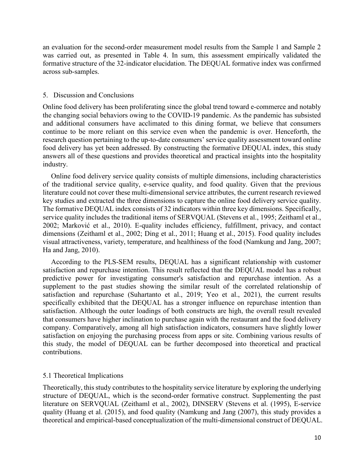an evaluation for the second-order measurement model results from the Sample 1 and Sample 2 was carried out, as presented in Table 4. In sum, this assessment empirically validated the formative structure of the 32-indicator elucidation. The DEQUAL formative index was confirmed across sub-samples.

### 5. Discussion and Conclusions

Online food delivery has been proliferating since the global trend toward e-commerce and notably the changing social behaviors owing to the COVID-19 pandemic. As the pandemic has subsisted and additional consumers have acclimated to this dining format, we believe that consumers continue to be more reliant on this service even when the pandemic is over. Henceforth, the research question pertaining to the up-to-date consumers' service quality assessment toward online food delivery has yet been addressed. By constructing the formative DEQUAL index, this study answers all of these questions and provides theoretical and practical insights into the hospitality industry.

Online food delivery service quality consists of multiple dimensions, including characteristics of the traditional service quality, e-service quality, and food quality. Given that the previous literature could not cover these multi-dimensional service attributes, the current research reviewed key studies and extracted the three dimensions to capture the online food delivery service quality. The formative DEQUAL index consists of 32 indicators within three key dimensions. Specifically, service quality includes the traditional items of SERVQUAL (Stevens et al., 1995; Zeithaml et al., 2002; Marković et al., 2010). E-quality includes efficiency, fulfillment, privacy, and contact dimensions (Zeithaml et al., 2002; Ding et al., 2011; Huang et al., 2015). Food quality includes visual attractiveness, variety, temperature, and healthiness of the food (Namkung and Jang, 2007; Ha and Jang, 2010).

According to the PLS-SEM results, DEQUAL has a significant relationship with customer satisfaction and repurchase intention. This result reflected that the DEQUAL model has a robust predictive power for investigating consumer's satisfaction and repurchase intention. As a supplement to the past studies showing the similar result of the correlated relationship of satisfaction and repurchase (Suhartanto et al., 2019; Yeo et al., 2021), the current results specifically exhibited that the DEQUAL has a stronger influence on repurchase intention than satisfaction. Although the outer loadings of both constructs are high, the overall result revealed that consumers have higher inclination to purchase again with the restaurant and the food delivery company. Comparatively, among all high satisfaction indicators, consumers have slightly lower satisfaction on enjoying the purchasing process from apps or site. Combining various results of this study, the model of DEQUAL can be further decomposed into theoretical and practical contributions.

## 5.1 Theoretical Implications

Theoretically, this study contributes to the hospitality service literature by exploring the underlying structure of DEQUAL, which is the second-order formative construct. Supplementing the past literature on SERVQUAL (Zeithaml et al., 2002), DINSERV (Stevens et al. (1995), E-service quality (Huang et al. (2015), and food quality (Namkung and Jang (2007), this study provides a theoretical and empirical-based conceptualization of the multi-dimensional construct of DEQUAL.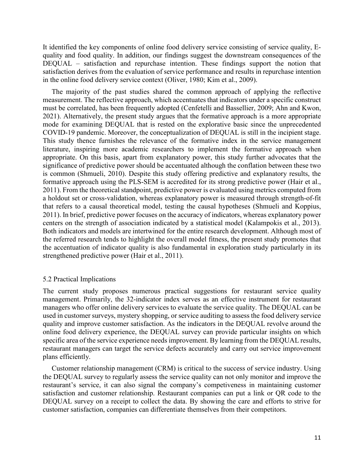It identified the key components of online food delivery service consisting of service quality, Equality and food quality. In addition, our findings suggest the downstream consequences of the DEQUAL – satisfaction and repurchase intention. These findings support the notion that satisfaction derives from the evaluation of service performance and results in repurchase intention in the online food delivery service context (Oliver, 1980; Kim et al., 2009).

 The majority of the past studies shared the common approach of applying the reflective measurement. The reflective approach, which accentuates that indicators under a specific construct must be correlated, has been frequently adopted (Cenfetelli and Bassellier, 2009; Ahn and Kwon, 2021). Alternatively, the present study argues that the formative approach is a more appropriate mode for examining DEQUAL that is rested on the explorative basic since the unprecedented COVID-19 pandemic. Moreover, the conceptualization of DEQUAL is still in the incipient stage. This study thence furnishes the relevance of the formative index in the service management literature, inspiring more academic researchers to implement the formative approach when appropriate. On this basis, apart from explanatory power, this study further advocates that the significance of predictive power should be accentuated although the conflation between these two is common (Shmueli, 2010). Despite this study offering predictive and explanatory results, the formative approach using the PLS-SEM is accredited for its strong predictive power (Hair et al., 2011). From the theoretical standpoint, predictive power is evaluated using metrics computed from a holdout set or cross-validation, whereas explanatory power is measured through strength-of-fit that refers to a causal theoretical model, testing the causal hypotheses (Shmueli and Koppius, 2011). In brief, predictive power focuses on the accuracy of indicators, whereas explanatory power centers on the strength of association indicated by a statistical model (Kalampokis et al., 2013). Both indicators and models are intertwined for the entire research development. Although most of the referred research tends to highlight the overall model fitness, the present study promotes that the accentuation of indicator quality is also fundamental in exploration study particularly in its strengthened predictive power (Hair et al., 2011).

#### 5.2 Practical Implications

The current study proposes numerous practical suggestions for restaurant service quality management. Primarily, the 32-indicator index serves as an effective instrument for restaurant managers who offer online delivery services to evaluate the service quality. The DEQUAL can be used in customer surveys, mystery shopping, or service auditing to assess the food delivery service quality and improve customer satisfaction. As the indicators in the DEQUAL revolve around the online food delivery experience, the DEQUAL survey can provide particular insights on which specific area of the service experience needs improvement. By learning from the DEQUAL results, restaurant managers can target the service defects accurately and carry out service improvement plans efficiently.

 Customer relationship management (CRM) is critical to the success of service industry. Using the DEQUAL survey to regularly assess the service quality can not only monitor and improve the restaurant's service, it can also signal the company's competiveness in maintaining customer satisfaction and customer relationship. Restaurant companies can put a link or QR code to the DEQUAL survey on a receipt to collect the data. By showing the care and efforts to strive for customer satisfaction, companies can differentiate themselves from their competitors.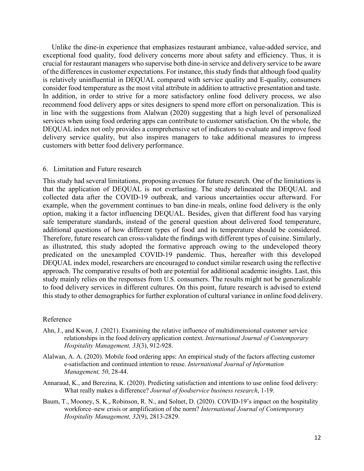Unlike the dine-in experience that emphasizes restaurant ambiance, value-added service, and exceptional food quality, food delivery concerns more about safety and efficiency. Thus, it is crucial for restaurant managers who supervise both dine-in service and delivery service to be aware of the differences in customer expectations. For instance, this study finds that although food quality is relatively uninfluential in DEQUAL compared with service quality and E-quality, consumers consider food temperature as the most vital attribute in addition to attractive presentation and taste. In addition, in order to strive for a more satisfactory online food delivery process, we also recommend food delivery apps or sites designers to spend more effort on personalization. This is in line with the suggestions from Alalwan (2020) suggesting that a high level of personalized services when using food ordering apps can contribute to customer satisfaction. On the whole, the DEQUAL index not only provides a comprehensive set of indicators to evaluate and improve food delivery service quality, but also inspires managers to take additional measures to impress customers with better food delivery performance.

#### 6. Limitation and Future research

This study had several limitations, proposing avenues for future research. One of the limitations is that the application of DEQUAL is not everlasting. The study delineated the DEQUAL and collected data after the COVID-19 outbreak, and various uncertainties occur afterward. For example, when the government continues to ban dine-in meals, online food delivery is the only option, making it a factor influencing DEQUAL. Besides, given that different food has varying safe temperature standards, instead of the general question about delivered food temperature, additional questions of how different types of food and its temperature should be considered. Therefore, future research can cross-validate the findings with different types of cuisine. Similarly, as illustrated, this study adopted the formative approach owing to the undeveloped theory predicated on the unexampled COVID-19 pandemic. Thus, hereafter with this developed DEQUAL index model, researchers are encouraged to conduct similar research using the reflective approach. The comparative results of both are potential for additional academic insights. Last, this study mainly relies on the responses from U.S. consumers. The results might not be generalizable to food delivery services in different cultures. On this point, future research is advised to extend this study to other demographics for further exploration of cultural variance in online food delivery.

#### Reference

- Ahn, J., and Kwon, J. (2021). Examining the relative influence of multidimensional customer service relationships in the food delivery application context. *International Journal of Contemporary Hospitality Management, 33*(3), 912-928.
- Alalwan, A. A. (2020). Mobile food ordering apps: An empirical study of the factors affecting customer e-satisfaction and continued intention to reuse. *International Journal of Information Management, 50*, 28-44.
- Annaraud, K., and Berezina, K. (2020). Predicting satisfaction and intentions to use online food delivery: What really makes a difference? *Journal of foodservice business research*, 1-19.
- Baum, T., Mooney, S. K., Robinson, R. N., and Solnet, D. (2020). COVID-19's impact on the hospitality workforce–new crisis or amplification of the norm? *International Journal of Contemporary Hospitality Management, 32*(9), 2813-2829.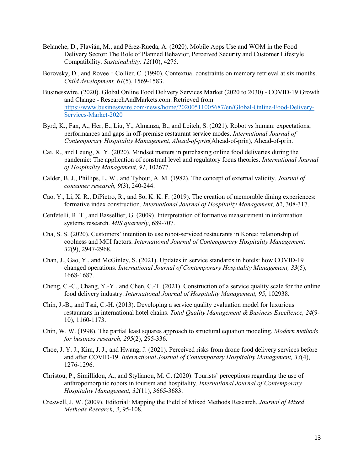- Belanche, D., Flavián, M., and Pérez-Rueda, A. (2020). Mobile Apps Use and WOM in the Food Delivery Sector: The Role of Planned Behavior, Perceived Security and Customer Lifestyle Compatibility. *Sustainability, 12*(10), 4275.
- Borovsky, D., and Rovee Collier, C. (1990). Contextual constraints on memory retrieval at six months. *Child development, 61*(5), 1569-1583.
- Businesswire. (2020). Global Online Food Delivery Services Market (2020 to 2030) COVID-19 Growth and Change - ResearchAndMarkets.com. Retrieved from [https://www.businesswire.com/news/home/20200511005687/en/Global-Online-Food-Delivery-](https://www.businesswire.com/news/home/20200511005687/en/Global-Online-Food-Delivery-Services-Market-2020)[Services-Market-2020](https://www.businesswire.com/news/home/20200511005687/en/Global-Online-Food-Delivery-Services-Market-2020)
- Byrd, K., Fan, A., Her, E., Liu, Y., Almanza, B., and Leitch, S. (2021). Robot vs human: expectations, performances and gaps in off-premise restaurant service modes. *International Journal of Contemporary Hospitality Management, Ahead-of-prin*(Ahead-of-prin), Ahead-of-prin.
- Cai, R., and Leung, X. Y. (2020). Mindset matters in purchasing online food deliveries during the pandemic: The application of construal level and regulatory focus theories. *International Journal of Hospitality Management, 91*, 102677.
- Calder, B. J., Phillips, L. W., and Tybout, A. M. (1982). The concept of external validity. *Journal of consumer research, 9*(3), 240-244.
- Cao, Y., Li, X. R., DiPietro, R., and So, K. K. F. (2019). The creation of memorable dining experiences: formative index construction. *International Journal of Hospitality Management, 82*, 308-317.
- Cenfetelli, R. T., and Bassellier, G. (2009). Interpretation of formative measurement in information systems research. *MIS quarterly*, 689-707.
- Cha, S. S. (2020). Customers' intention to use robot-serviced restaurants in Korea: relationship of coolness and MCI factors. *International Journal of Contemporary Hospitality Management, 32*(9), 2947-2968.
- Chan, J., Gao, Y., and McGinley, S. (2021). Updates in service standards in hotels: how COVID-19 changed operations. *International Journal of Contemporary Hospitality Management, 33*(5), 1668-1687.
- Cheng, C.-C., Chang, Y.-Y., and Chen, C.-T. (2021). Construction of a service quality scale for the online food delivery industry. *International Journal of Hospitality Management, 95*, 102938.
- Chin, J.-B., and Tsai, C.-H. (2013). Developing a service quality evaluation model for luxurious restaurants in international hotel chains. *Total Quality Management & Business Excellence, 24*(9- 10), 1160-1173.
- Chin, W. W. (1998). The partial least squares approach to structural equation modeling. *Modern methods for business research, 295*(2), 295-336.
- Choe, J. Y. J., Kim, J. J., and Hwang, J. (2021). Perceived risks from drone food delivery services before and after COVID-19. *International Journal of Contemporary Hospitality Management, 33*(4), 1276-1296.
- Christou, P., Simillidou, A., and Stylianou, M. C. (2020). Tourists' perceptions regarding the use of anthropomorphic robots in tourism and hospitality. *International Journal of Contemporary Hospitality Management, 32*(11), 3665-3683.
- Creswell, J. W. (2009). Editorial: Mapping the Field of Mixed Methods Research. *Journal of Mixed Methods Research, 3*, 95-108.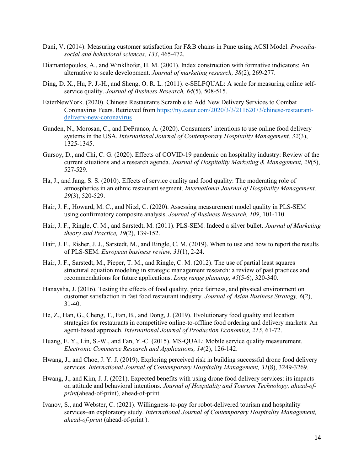- Dani, V. (2014). Measuring customer satisfaction for F&B chains in Pune using ACSI Model. *Procediasocial and behavioral sciences, 133*, 465-472.
- Diamantopoulos, A., and Winklhofer, H. M. (2001). Index construction with formative indicators: An alternative to scale development. *Journal of marketing research, 38*(2), 269-277.
- Ding, D. X., Hu, P. J.-H., and Sheng, O. R. L. (2011). e-SELFQUAL: A scale for measuring online selfservice quality. *Journal of Business Research, 64*(5), 508-515.
- EaterNewYork. (2020). Chinese Restaurants Scramble to Add New Delivery Services to Combat Coronavirus Fears. Retrieved from [https://ny.eater.com/2020/3/3/21162073/chinese-restaurant](https://ny.eater.com/2020/3/3/21162073/chinese-restaurant-delivery-new-coronavirus)[delivery-new-coronavirus](https://ny.eater.com/2020/3/3/21162073/chinese-restaurant-delivery-new-coronavirus)
- Gunden, N., Morosan, C., and DeFranco, A. (2020). Consumers' intentions to use online food delivery systems in the USA. *International Journal of Contemporary Hospitality Management, 32*(3), 1325-1345.
- Gursoy, D., and Chi, C. G. (2020). Effects of COVID-19 pandemic on hospitality industry: Review of the current situations and a research agenda. *Journal of Hospitality Marketing & Management, 29*(5), 527-529.
- Ha, J., and Jang, S. S. (2010). Effects of service quality and food quality: The moderating role of atmospherics in an ethnic restaurant segment. *International Journal of Hospitality Management, 29*(3), 520-529.
- Hair, J. F., Howard, M. C., and Nitzl, C. (2020). Assessing measurement model quality in PLS-SEM using confirmatory composite analysis. *Journal of Business Research, 109*, 101-110.
- Hair, J. F., Ringle, C. M., and Sarstedt, M. (2011). PLS-SEM: Indeed a silver bullet. *Journal of Marketing theory and Practice, 19*(2), 139-152.
- Hair, J. F., Risher, J. J., Sarstedt, M., and Ringle, C. M. (2019). When to use and how to report the results of PLS-SEM. *European business review, 31*(1), 2-24.
- Hair, J. F., Sarstedt, M., Pieper, T. M., and Ringle, C. M. (2012). The use of partial least squares structural equation modeling in strategic management research: a review of past practices and recommendations for future applications. *Long range planning, 45*(5-6), 320-340.
- Hanaysha, J. (2016). Testing the effects of food quality, price fairness, and physical environment on customer satisfaction in fast food restaurant industry. *Journal of Asian Business Strategy, 6*(2), 31-40.
- He, Z., Han, G., Cheng, T., Fan, B., and Dong, J. (2019). Evolutionary food quality and location strategies for restaurants in competitive online-to-offline food ordering and delivery markets: An agent-based approach. *International Journal of Production Economics, 215*, 61-72.
- Huang, E. Y., Lin, S.-W., and Fan, Y.-C. (2015). MS-QUAL: Mobile service quality measurement. *Electronic Commerce Research and Applications, 14*(2), 126-142.
- Hwang, J., and Choe, J. Y. J. (2019). Exploring perceived risk in building successful drone food delivery services. *International Journal of Contemporary Hospitality Management, 31*(8), 3249-3269.
- Hwang, J., and Kim, J. J. (2021). Expected benefits with using drone food delivery services: its impacts on attitude and behavioral intentions. *Journal of Hospitality and Tourism Technology, ahead-ofprint*(ahead-of-print), ahead-of-print.
- Ivanov, S., and Webster, C. (2021). Willingness-to-pay for robot-delivered tourism and hospitality services–an exploratory study. *International Journal of Contemporary Hospitality Management, ahead-of-print* (ahead-of-print ).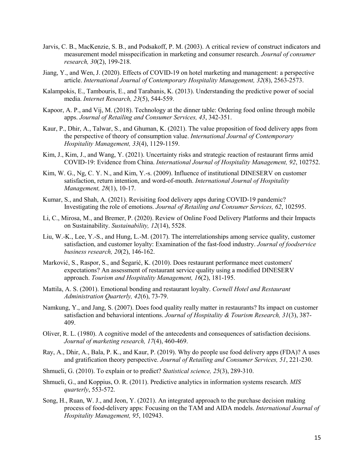- Jarvis, C. B., MacKenzie, S. B., and Podsakoff, P. M. (2003). A critical review of construct indicators and measurement model misspecification in marketing and consumer research. *Journal of consumer research, 30*(2), 199-218.
- Jiang, Y., and Wen, J. (2020). Effects of COVID-19 on hotel marketing and management: a perspective article. *International Journal of Contemporary Hospitality Management, 32*(8), 2563-2573.
- Kalampokis, E., Tambouris, E., and Tarabanis, K. (2013). Understanding the predictive power of social media. *Internet Research, 23*(5), 544-559.
- Kapoor, A. P., and Vij, M. (2018). Technology at the dinner table: Ordering food online through mobile apps. *Journal of Retailing and Consumer Services, 43*, 342-351.
- Kaur, P., Dhir, A., Talwar, S., and Ghuman, K. (2021). The value proposition of food delivery apps from the perspective of theory of consumption value. *International Journal of Contemporary Hospitality Management, 33*(4), 1129-1159.
- Kim, J., Kim, J., and Wang, Y. (2021). Uncertainty risks and strategic reaction of restaurant firms amid COVID-19: Evidence from China. *International Journal of Hospitality Management, 92*, 102752.
- Kim, W. G., Ng, C. Y. N., and Kim, Y.-s. (2009). Influence of institutional DINESERV on customer satisfaction, return intention, and word-of-mouth. *International Journal of Hospitality Management, 28*(1), 10-17.
- Kumar, S., and Shah, A. (2021). Revisiting food delivery apps during COVID-19 pandemic? Investigating the role of emotions. *Journal of Retailing and Consumer Services, 62*, 102595.
- Li, C., Mirosa, M., and Bremer, P. (2020). Review of Online Food Delivery Platforms and their Impacts on Sustainability. *Sustainability, 12*(14), 5528.
- Liu, W.-K., Lee, Y.-S., and Hung, L.-M. (2017). The interrelationships among service quality, customer satisfaction, and customer loyalty: Examination of the fast-food industry. *Journal of foodservice business research, 20*(2), 146-162.
- Marković, S., Raspor, S., and Šegarić, K. (2010). Does restaurant performance meet customers' expectations? An assessment of restaurant service quality using a modified DINESERV approach. *Tourism and Hospitality Management, 16*(2), 181-195.
- Mattila, A. S. (2001). Emotional bonding and restaurant loyalty. *Cornell Hotel and Restaurant Administration Quarterly, 42*(6), 73-79.
- Namkung, Y., and Jang, S. (2007). Does food quality really matter in restaurants? Its impact on customer satisfaction and behavioral intentions. *Journal of Hospitality & Tourism Research, 31*(3), 387- 409.
- Oliver, R. L. (1980). A cognitive model of the antecedents and consequences of satisfaction decisions. *Journal of marketing research, 17*(4), 460-469.
- Ray, A., Dhir, A., Bala, P. K., and Kaur, P. (2019). Why do people use food delivery apps (FDA)? A uses and gratification theory perspective. *Journal of Retailing and Consumer Services, 51*, 221-230.
- Shmueli, G. (2010). To explain or to predict? *Statistical science, 25*(3), 289-310.
- Shmueli, G., and Koppius, O. R. (2011). Predictive analytics in information systems research. *MIS quarterly*, 553-572.
- Song, H., Ruan, W. J., and Jeon, Y. (2021). An integrated approach to the purchase decision making process of food-delivery apps: Focusing on the TAM and AIDA models. *International Journal of Hospitality Management, 95*, 102943.